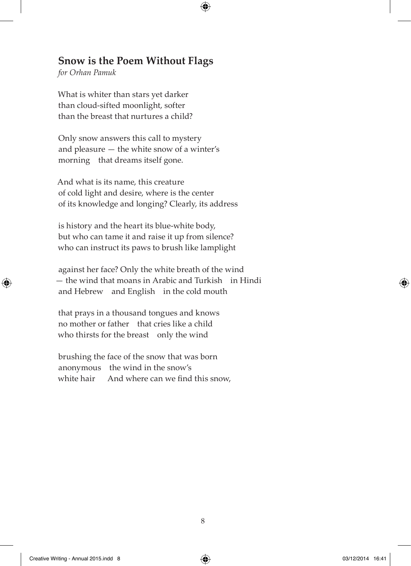## **Snow is the Poem Without Flags**

 $\bigoplus$ 

*for Orhan Pamuk*

⊕

What is whiter than stars yet darker than cloud-sifted moonlight, softer than the breast that nurtures a child?

Only snow answers this call to mystery and pleasure — the white snow of a winter's morning that dreams itself gone.

And what is its name, this creature of cold light and desire, where is the center of its knowledge and longing? Clearly, its address

is history and the heart its blue-white body, but who can tame it and raise it up from silence? who can instruct its paws to brush like lamplight

against her face? Only the white breath of the wind — the wind that moans in Arabic and Turkish in Hindi and Hebrew and English in the cold mouth

that prays in a thousand tongues and knows no mother or father that cries like a child who thirsts for the breast only the wind

brushing the face of the snow that was born anonymous the wind in the snow's white hair And where can we find this snow,  $\langle \spadesuit \rangle$